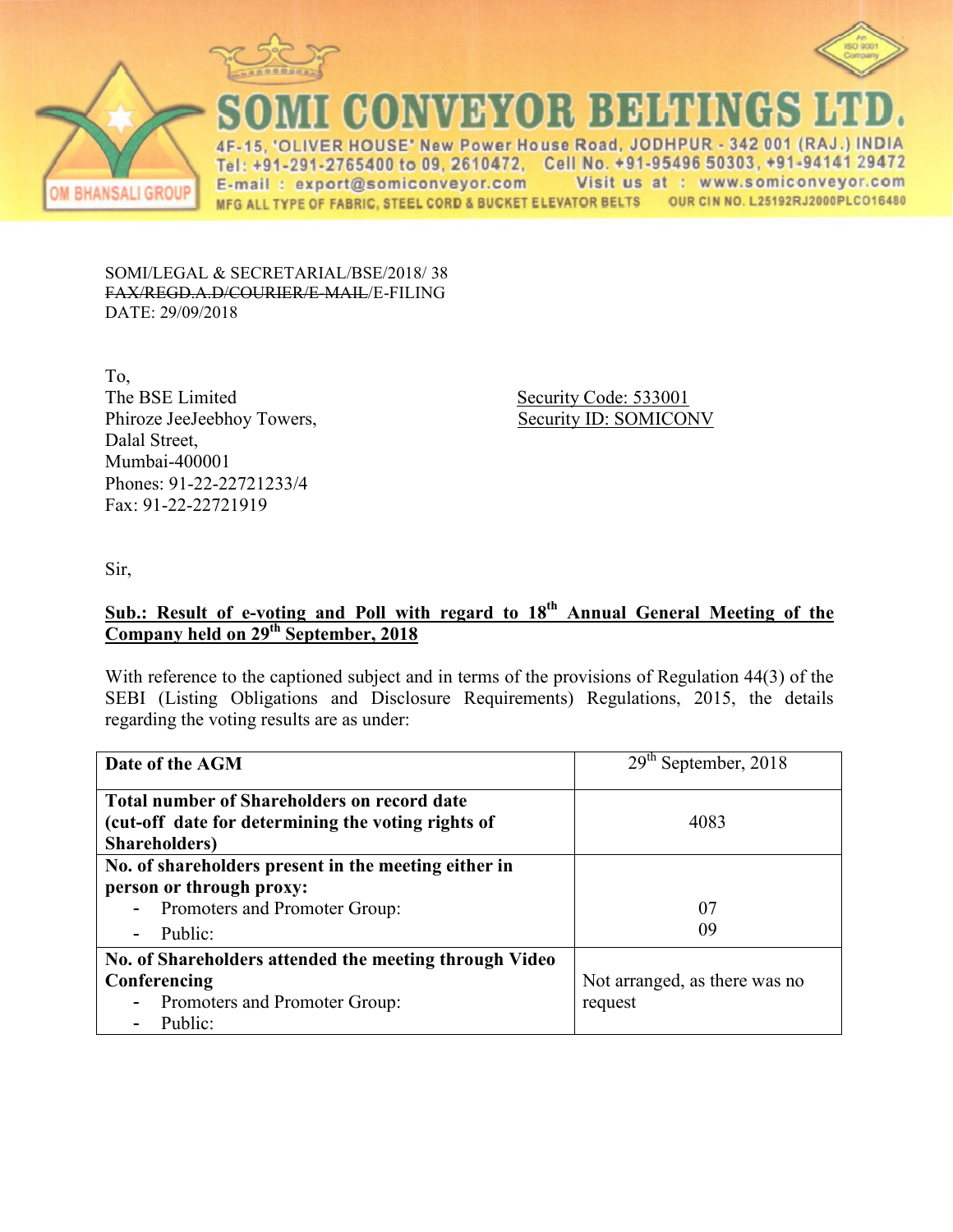



**CONVEYOR BELTINGS** 

IVER HOUSE' New Power House Road, JODHPUR - 342 001 (RAJ  $4F$ 15. Tel: +91-291-2765400 to 09, 2610472. Cell No. +91-95496 50303, +91-94141 29472 E-mail: export@somiconveyor.com Visit us at : www.somiconveyor.com OUR CIN NO. L25192RJ2000PLCO16480 MFG ALL TYPE OF FABRIC, STEEL CORD & BUCKET ELEVATOR BELTS

SOMI/LEGAL & SECRETARIAL/BSE/2018/ 38 FAX/REGD.A.D/COURIER/E-MAIL/E-FILING DATE: 29/09/2018

To, The BSE Limited Security Code: 533001 Phiroze JeeJeebhoy Towers, Security ID: SOMICONV Dalal Street, Mumbai-400001 Phones: 91-22-22721233/4 Fax: 91-22-22721919

Sir,

# **Sub.: Result of e-voting and Poll with regard to 18th Annual General Meeting of the Company held on 29th September, 2018**

With reference to the captioned subject and in terms of the provisions of Regulation 44(3) of the SEBI (Listing Obligations and Disclosure Requirements) Regulations, 2015, the details regarding the voting results are as under:

| Date of the AGM                                               | September, 2018<br>29 <sup>th</sup> |
|---------------------------------------------------------------|-------------------------------------|
| <b>Total number of Shareholders on record date</b>            |                                     |
| (cut-off date for determining the voting rights of            | 4083                                |
| Shareholders)                                                 |                                     |
| No. of shareholders present in the meeting either in          |                                     |
| person or through proxy:                                      |                                     |
| - Promoters and Promoter Group:                               | 07                                  |
| Public:<br>$\overline{\phantom{a}}$                           | 09                                  |
| No. of Shareholders attended the meeting through Video        |                                     |
| Conferencing                                                  | Not arranged, as there was no       |
| Promoters and Promoter Group:<br>$\qquad \qquad \blacksquare$ | request                             |
| Public:                                                       |                                     |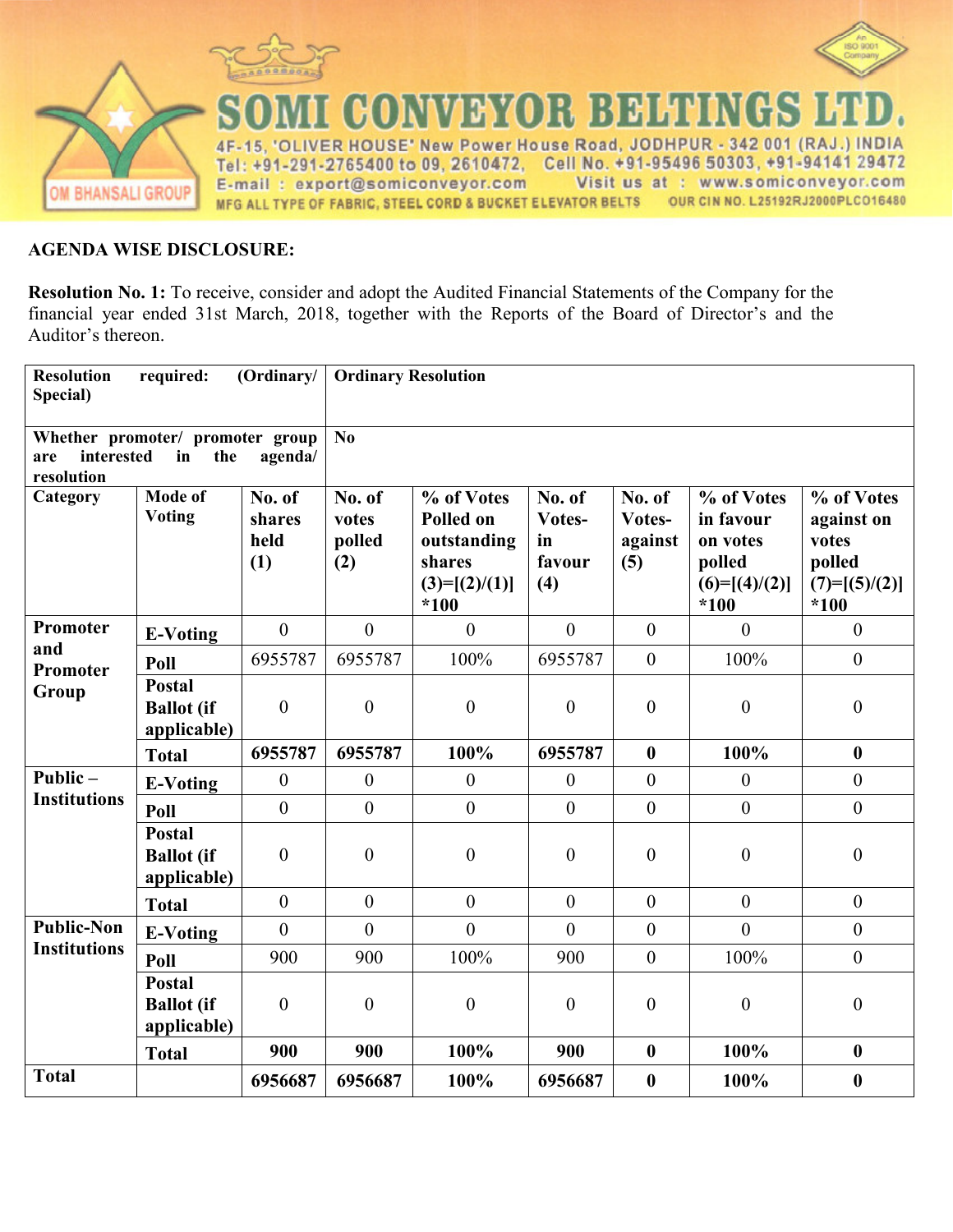

## **AGENDA WISE DISCLOSURE:**

**Resolution No. 1:** To receive, consider and adopt the Audited Financial Statements of the Company for the financial year ended 31st March, 2018, together with the Reports of the Board of Director's and the Auditor's thereon.

| <b>Resolution</b><br>Special)   | required:                                         | (Ordinary/                      | <b>Ordinary Resolution</b>       |                                                                               |                                         |                                    |                                                                            |                                                                          |
|---------------------------------|---------------------------------------------------|---------------------------------|----------------------------------|-------------------------------------------------------------------------------|-----------------------------------------|------------------------------------|----------------------------------------------------------------------------|--------------------------------------------------------------------------|
| interested<br>are<br>resolution | Whether promoter/ promoter group<br>in<br>the     | agenda/                         | $\mathbf{N}\mathbf{0}$           |                                                                               |                                         |                                    |                                                                            |                                                                          |
| Category                        | <b>Mode of</b><br><b>Voting</b>                   | No. of<br>shares<br>held<br>(1) | No. of<br>votes<br>polled<br>(2) | % of Votes<br>Polled on<br>outstanding<br>shares<br>$(3)=[(2)/(1)]$<br>$*100$ | No. of<br>Votes-<br>in<br>favour<br>(4) | No. of<br>Votes-<br>against<br>(5) | % of Votes<br>in favour<br>on votes<br>polled<br>$(6)=[(4)/(2)]$<br>$*100$ | % of Votes<br>against on<br>votes<br>polled<br>$(7)=[(5)/(2)]$<br>$*100$ |
| Promoter                        | <b>E-Voting</b>                                   | $\overline{0}$                  | $\theta$                         | $\theta$                                                                      | $\mathbf{0}$                            | $\overline{0}$                     | $\mathbf{0}$                                                               | $\overline{0}$                                                           |
| and<br>Promoter                 | Poll                                              | 6955787                         | 6955787                          | 100%                                                                          | 6955787                                 | $\overline{0}$                     | 100%                                                                       | $\overline{0}$                                                           |
| Group                           | <b>Postal</b><br><b>Ballot</b> (if<br>applicable) | $\overline{0}$                  | $\overline{0}$                   | $\boldsymbol{0}$                                                              | $\overline{0}$                          | $\overline{0}$                     | $\boldsymbol{0}$                                                           | $\overline{0}$                                                           |
|                                 | <b>Total</b>                                      | 6955787                         | 6955787                          | 100%                                                                          | 6955787                                 | $\boldsymbol{0}$                   | 100%                                                                       | $\boldsymbol{0}$                                                         |
| Public $-$                      | <b>E-Voting</b>                                   | $\boldsymbol{0}$                | $\mathbf{0}$                     | $\boldsymbol{0}$                                                              | $\boldsymbol{0}$                        | $\mathbf{0}$                       | $\boldsymbol{0}$                                                           | $\boldsymbol{0}$                                                         |
| <b>Institutions</b>             | Poll                                              | $\overline{0}$                  | $\overline{0}$                   | $\overline{0}$                                                                | $\overline{0}$                          | $\overline{0}$                     | $\overline{0}$                                                             | $\overline{0}$                                                           |
|                                 | <b>Postal</b><br><b>Ballot</b> (if<br>applicable) | $\overline{0}$                  | $\overline{0}$                   | $\boldsymbol{0}$                                                              | $\overline{0}$                          | $\overline{0}$                     | $\boldsymbol{0}$                                                           | $\overline{0}$                                                           |
|                                 | <b>Total</b>                                      | $\mathbf{0}$                    | $\theta$                         | $\overline{0}$                                                                | $\mathbf{0}$                            | $\overline{0}$                     | $\overline{0}$                                                             | $\overline{0}$                                                           |
| <b>Public-Non</b>               | <b>E-Voting</b>                                   | $\overline{0}$                  | $\theta$                         | $\overline{0}$                                                                | $\overline{0}$                          | $\mathbf{0}$                       | $\overline{0}$                                                             | $\mathbf{0}$                                                             |
| <b>Institutions</b>             | Poll                                              | 900                             | 900                              | 100%                                                                          | 900                                     | $\overline{0}$                     | 100%                                                                       | $\mathbf{0}$                                                             |
|                                 | <b>Postal</b><br><b>Ballot</b> (if<br>applicable) | $\overline{0}$                  | $\overline{0}$                   | $\boldsymbol{0}$                                                              | $\overline{0}$                          | $\overline{0}$                     | $\boldsymbol{0}$                                                           | $\overline{0}$                                                           |
|                                 | <b>Total</b>                                      | 900                             | 900                              | 100%                                                                          | 900                                     | $\boldsymbol{0}$                   | 100%                                                                       | $\boldsymbol{0}$                                                         |
| <b>Total</b>                    |                                                   | 6956687                         | 6956687                          | 100%                                                                          | 6956687                                 | $\boldsymbol{0}$                   | 100%                                                                       | $\boldsymbol{0}$                                                         |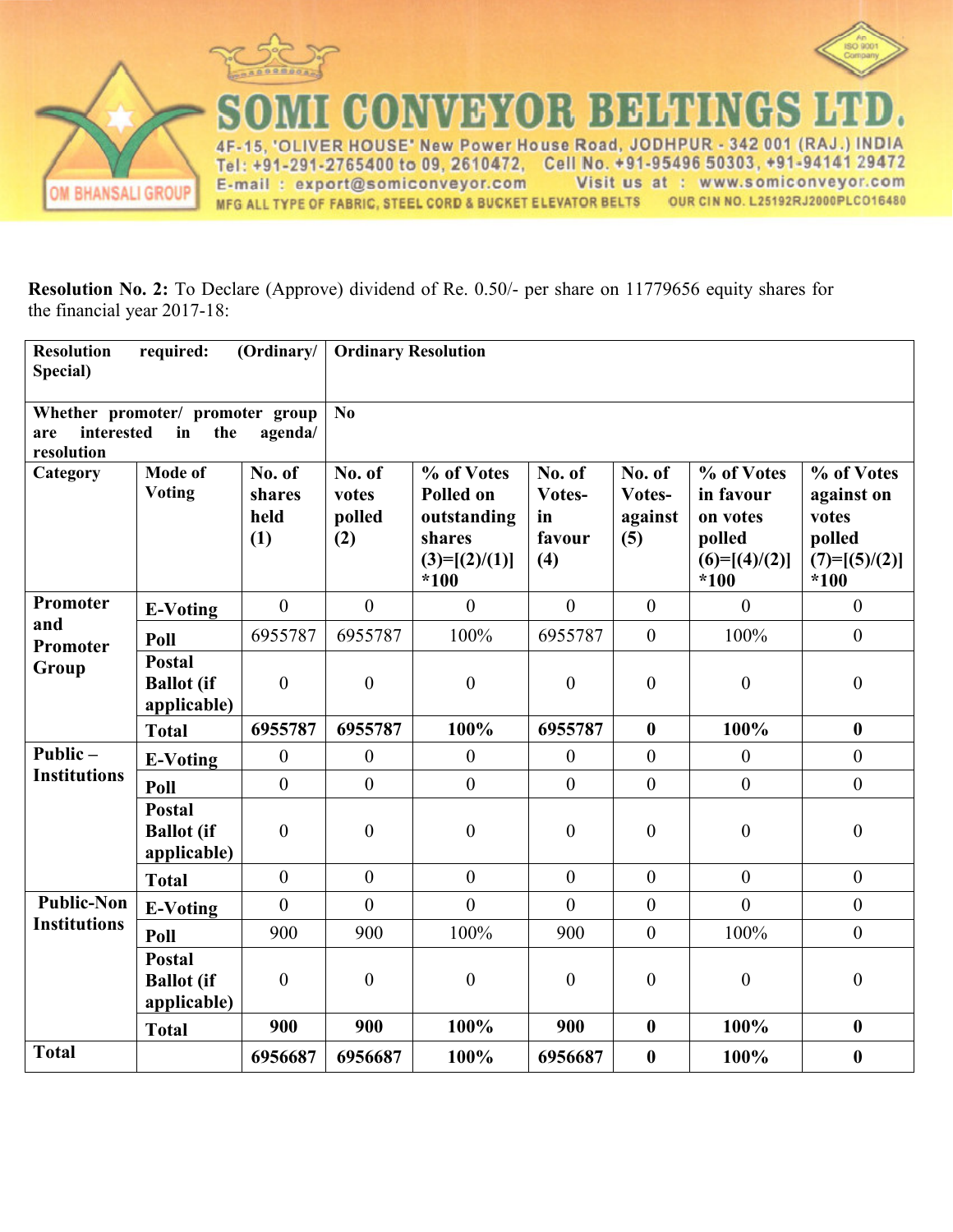



CONVEYOR BELTINGS ER HOUSE' New Power House Road, JODHPUR  $-342001$  (RAJ INDIA  $4F$  $15$ 'О Tel: +91-291-2765400 to 09, 2610472, Cell No. +91-95496 50303, +91-94141 29472 Visit us at : www.somiconveyor.com E-mail: export@somiconveyor.com OUR CIN NO. L25192RJ2000PLCO16480 MFG ALL TYPE OF FABRIC, STEEL CORD & BUCKET ELEVATOR BELTS

**Resolution No. 2:** To Declare (Approve) dividend of Re. 0.50/- per share on 11779656 equity shares for the financial year 2017-18:

| <b>Resolution</b><br>Special)   | required:                                         | (Ordinary/                      | <b>Ordinary Resolution</b>       |                                                                                      |                                         |                                    |                                                                            |                                                                          |
|---------------------------------|---------------------------------------------------|---------------------------------|----------------------------------|--------------------------------------------------------------------------------------|-----------------------------------------|------------------------------------|----------------------------------------------------------------------------|--------------------------------------------------------------------------|
| interested<br>are<br>resolution | Whether promoter/ promoter group<br>in<br>the     | agenda/                         | No                               |                                                                                      |                                         |                                    |                                                                            |                                                                          |
| Category                        | <b>Mode of</b><br>Voting                          | No. of<br>shares<br>held<br>(1) | No. of<br>votes<br>polled<br>(2) | % of Votes<br><b>Polled on</b><br>outstanding<br>shares<br>$(3)=[(2)/(1)]$<br>$*100$ | No. of<br>Votes-<br>in<br>favour<br>(4) | No. of<br>Votes-<br>against<br>(5) | % of Votes<br>in favour<br>on votes<br>polled<br>$(6)=[(4)/(2)]$<br>$*100$ | % of Votes<br>against on<br>votes<br>polled<br>$(7)=[(5)/(2)]$<br>$*100$ |
| Promoter                        | <b>E-Voting</b>                                   | $\boldsymbol{0}$                | $\theta$                         | $\overline{0}$                                                                       | $\overline{0}$                          | $\boldsymbol{0}$                   | $\overline{0}$                                                             | $\overline{0}$                                                           |
| and<br>Promoter                 | Poll                                              | 6955787                         | 6955787                          | 100%                                                                                 | 6955787                                 | $\boldsymbol{0}$                   | 100%                                                                       | $\boldsymbol{0}$                                                         |
| Group                           | <b>Postal</b><br><b>Ballot</b> (if<br>applicable) | $\overline{0}$                  | $\overline{0}$                   | $\overline{0}$                                                                       | $\overline{0}$                          | $\boldsymbol{0}$                   | $\boldsymbol{0}$                                                           | $\theta$                                                                 |
|                                 | <b>Total</b>                                      | 6955787                         | 6955787                          | 100%                                                                                 | 6955787                                 | $\boldsymbol{0}$                   | 100%                                                                       | $\boldsymbol{0}$                                                         |
| Public $-$                      | <b>E-Voting</b>                                   | $\boldsymbol{0}$                | $\mathbf{0}$                     | $\boldsymbol{0}$                                                                     | $\theta$                                | $\boldsymbol{0}$                   | $\boldsymbol{0}$                                                           | $\overline{0}$                                                           |
| <b>Institutions</b>             | Poll                                              | $\boldsymbol{0}$                | $\overline{0}$                   | $\overline{0}$                                                                       | $\boldsymbol{0}$                        | $\boldsymbol{0}$                   | $\mathbf{0}$                                                               | $\mathbf{0}$                                                             |
|                                 | <b>Postal</b><br><b>Ballot</b> (if<br>applicable) | $\boldsymbol{0}$                | $\overline{0}$                   | $\boldsymbol{0}$                                                                     | $\boldsymbol{0}$                        | $\boldsymbol{0}$                   | $\boldsymbol{0}$                                                           | $\boldsymbol{0}$                                                         |
|                                 | <b>Total</b>                                      | $\theta$                        | $\theta$                         | $\theta$                                                                             | $\theta$                                | $\theta$                           | $\theta$                                                                   | $\boldsymbol{0}$                                                         |
| <b>Public-Non</b>               | <b>E-Voting</b>                                   | $\overline{0}$                  | $\overline{0}$                   | $\overline{0}$                                                                       | $\overline{0}$                          | $\boldsymbol{0}$                   | $\overline{0}$                                                             | $\boldsymbol{0}$                                                         |
| <b>Institutions</b>             | Poll                                              | 900                             | 900                              | 100%                                                                                 | 900                                     | $\overline{0}$                     | 100%                                                                       | $\overline{0}$                                                           |
|                                 | <b>Postal</b><br><b>Ballot</b> (if<br>applicable) | $\overline{0}$                  | $\overline{0}$                   | $\boldsymbol{0}$                                                                     | $\theta$                                | $\boldsymbol{0}$                   | $\boldsymbol{0}$                                                           | $\boldsymbol{0}$                                                         |
|                                 | <b>Total</b>                                      | 900                             | 900                              | 100%                                                                                 | 900                                     | $\boldsymbol{0}$                   | 100%                                                                       | $\bf{0}$                                                                 |
| <b>Total</b>                    |                                                   | 6956687                         | 6956687                          | 100%                                                                                 | 6956687                                 | $\boldsymbol{0}$                   | 100%                                                                       | $\bf{0}$                                                                 |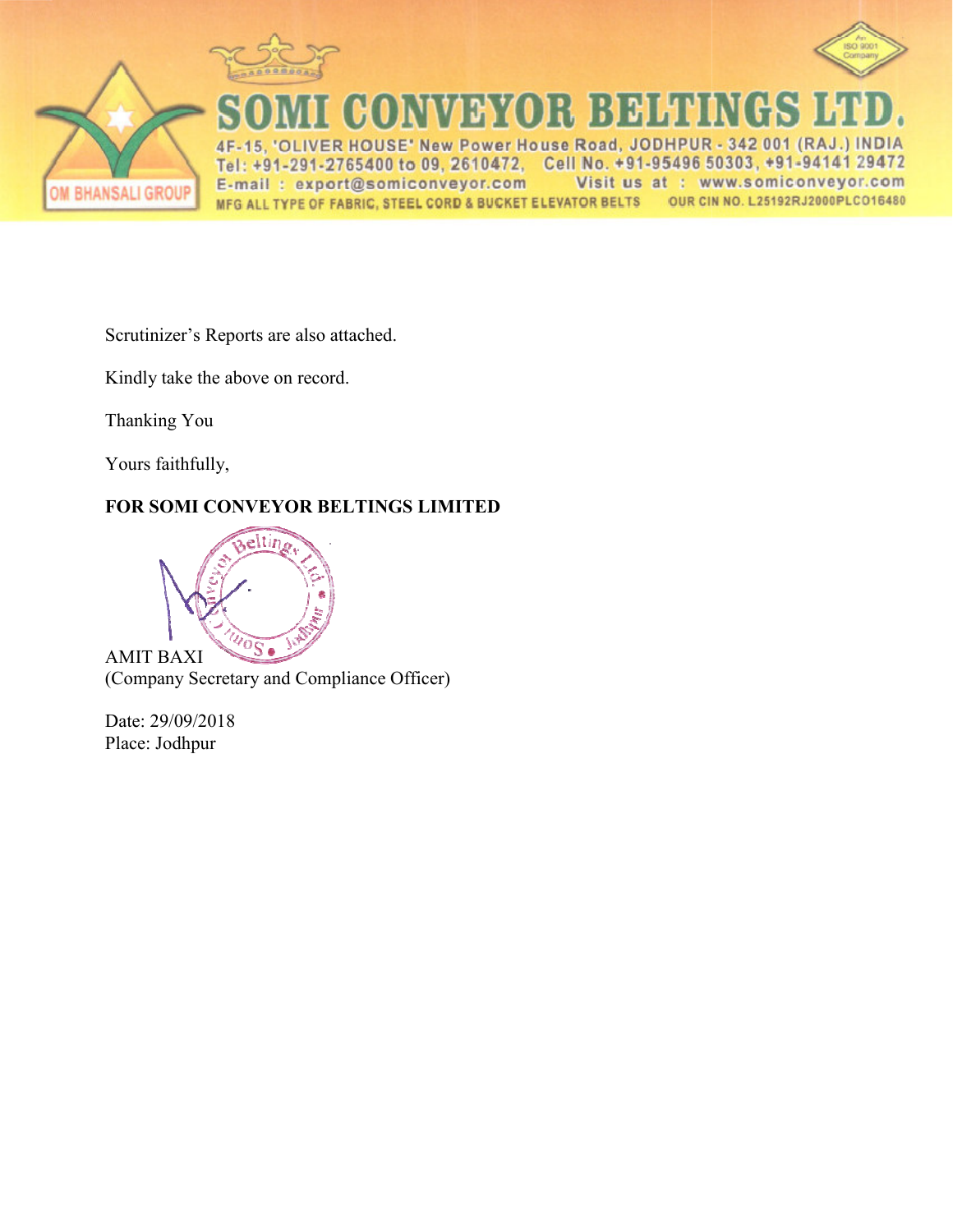



**CONVEYOR BELTINGS** ER HOUSE' New Power Hous 342 001 **IDIA** Road, JODHPU  $4F$ 5 Tel: +91-291-2765400 to 09, 2610472, Cell No. +91-95496 50303, +91-94141 29472 E-mail: export@somiconveyor.com Visit us at : www.somiconveyor.com OUR CIN NO. L25192RJ2000PLCO16480 MFG ALL TYPE OF FABRIC, STEEL CORD & BUCKET ELEVATOR BELTS

Scrutinizer's Reports are also attached.

Kindly take the above on record.

Thanking You

Yours faithfully,

## **FOR SOMI CONVEYOR BELT ELTINGS LIMITED**



(Company Secretary and Compliance Officer)

Date: 29/09/2018 Place: Jodhpur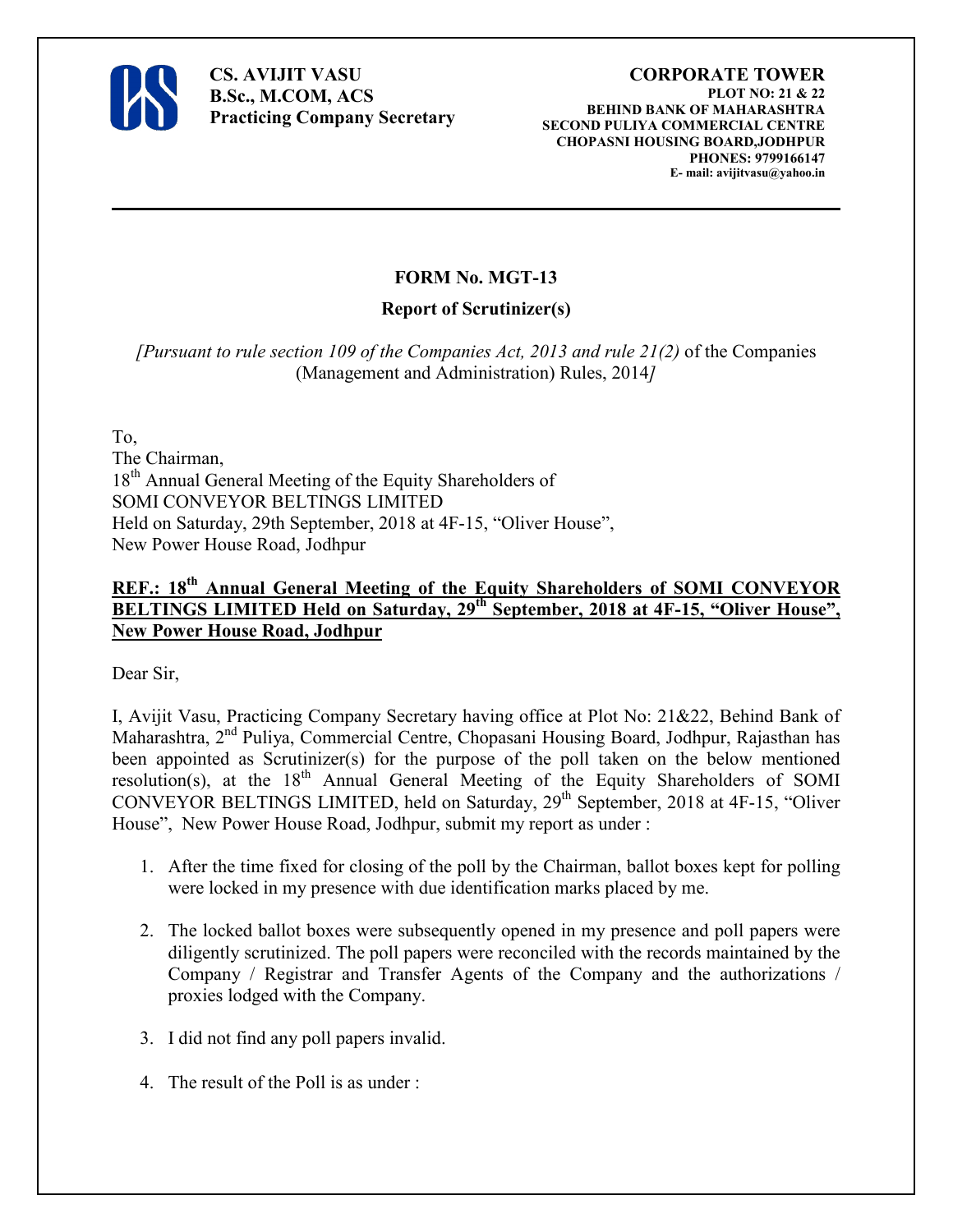

**CS. AVIJIT VASU B.Sc., M.COM, ACS Practicing Company Secretary** 

#### **CORPORATE TOWER PLOT NO: 21 & 22 BEHIND BANK OF MAHARASHTRA SECOND PULIYA COMMERCIAL CENTRE CHOPASNI HOUSING BOARD,JODHPUR PHONES: 9799166147 E- mail: avijitvasu@yahoo.in**

## **FORM No. MGT-13**

## **Report of Scrutinizer(s)**

*[Pursuant to rule section 109 of the Companies Act, 2013 and rule 21(2)* of the Companies (Management and Administration) Rules, 2014*]*

To, The Chairman, 18<sup>th</sup> Annual General Meeting of the Equity Shareholders of SOMI CONVEYOR BELTINGS LIMITED Held on Saturday, 29th September, 2018 at 4F-15, "Oliver House", New Power House Road, Jodhpur

## **REF.: 18th Annual General Meeting of the Equity Shareholders of SOMI CONVEYOR BELTINGS LIMITED Held on Saturday, 29th September, 2018 at 4F-15, "Oliver House", New Power House Road, Jodhpur**

Dear Sir,

I, Avijit Vasu, Practicing Company Secretary having office at Plot No: 21&22, Behind Bank of Maharashtra, 2nd Puliya, Commercial Centre, Chopasani Housing Board, Jodhpur, Rajasthan has been appointed as Scrutinizer(s) for the purpose of the poll taken on the below mentioned resolution(s), at the  $18<sup>th</sup>$  Annual General Meeting of the Equity Shareholders of SOMI CONVEYOR BELTINGS LIMITED, held on Saturday,  $29<sup>th</sup>$  September, 2018 at 4F-15, "Oliver House", New Power House Road, Jodhpur, submit my report as under :

- 1. After the time fixed for closing of the poll by the Chairman, ballot boxes kept for polling were locked in my presence with due identification marks placed by me.
- 2. The locked ballot boxes were subsequently opened in my presence and poll papers were diligently scrutinized. The poll papers were reconciled with the records maintained by the Company / Registrar and Transfer Agents of the Company and the authorizations / proxies lodged with the Company.
- 3. I did not find any poll papers invalid.
- 4. The result of the Poll is as under :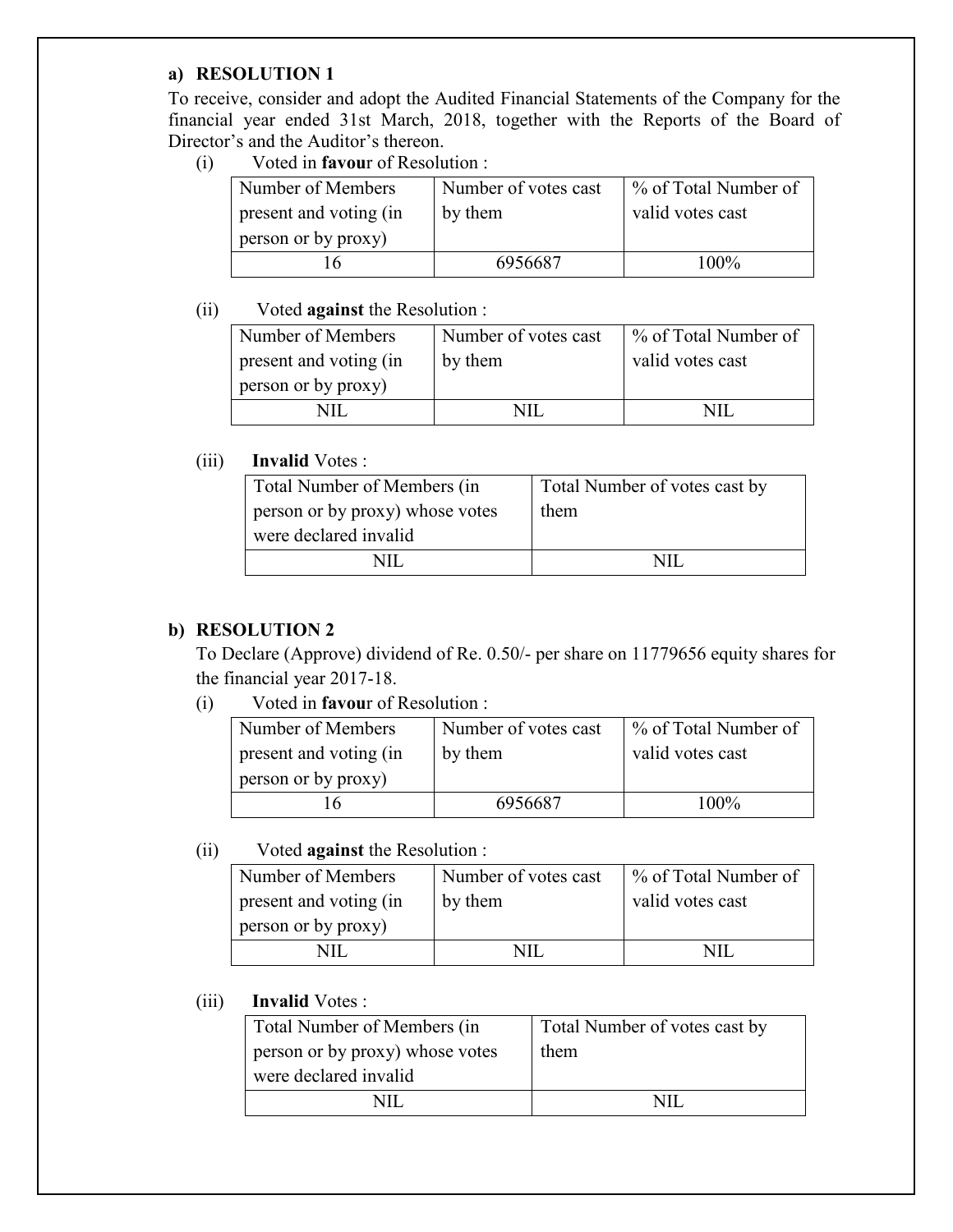#### **a) RESOLUTION 1**

To receive, consider and adopt the Audited Financial Statements of the Company for the financial year ended 31st March, 2018, together with the Reports of the Board of Director's and the Auditor's thereon.

(i) Voted in **favou**r of Resolution :

| Number of Members      | Number of votes cast | % of Total Number of |
|------------------------|----------------------|----------------------|
| present and voting (in | by them              | valid votes cast     |
| person or by proxy)    |                      |                      |
| $\mathsf{r}$           | 6956687              | $100\%$              |

#### (ii) Voted **against** the Resolution :

| Number of Members      | Number of votes cast | % of Total Number of |
|------------------------|----------------------|----------------------|
| present and voting (in | by them              | valid votes cast     |
| person or by proxy)    |                      |                      |
|                        | NП                   | NП                   |

## (iii) **Invalid** Votes :

| Total Number of Members (in     | Total Number of votes cast by |
|---------------------------------|-------------------------------|
| person or by proxy) whose votes | them                          |
| were declared invalid           |                               |
|                                 |                               |

## **b) RESOLUTION 2**

 To Declare (Approve) dividend of Re. 0.50/- per share on 11779656 equity shares for the financial year 2017-18.

(i) Voted in **favou**r of Resolution :

| Number of Members      | Number of votes cast | % of Total Number of |
|------------------------|----------------------|----------------------|
| present and voting (in | by them              | valid votes cast     |
| person or by proxy)    |                      |                      |
| h                      | 6956687              | 100%                 |

## (ii) Voted **against** the Resolution :

| Number of Members      | Number of votes cast | % of Total Number of |
|------------------------|----------------------|----------------------|
| present and voting (in | by them              | valid votes cast     |
| person or by proxy)    |                      |                      |
|                        |                      |                      |

(iii) **Invalid** Votes :

| Total Number of Members (in     | Total Number of votes cast by |
|---------------------------------|-------------------------------|
| person or by proxy) whose votes | them                          |
| were declared invalid           |                               |
|                                 |                               |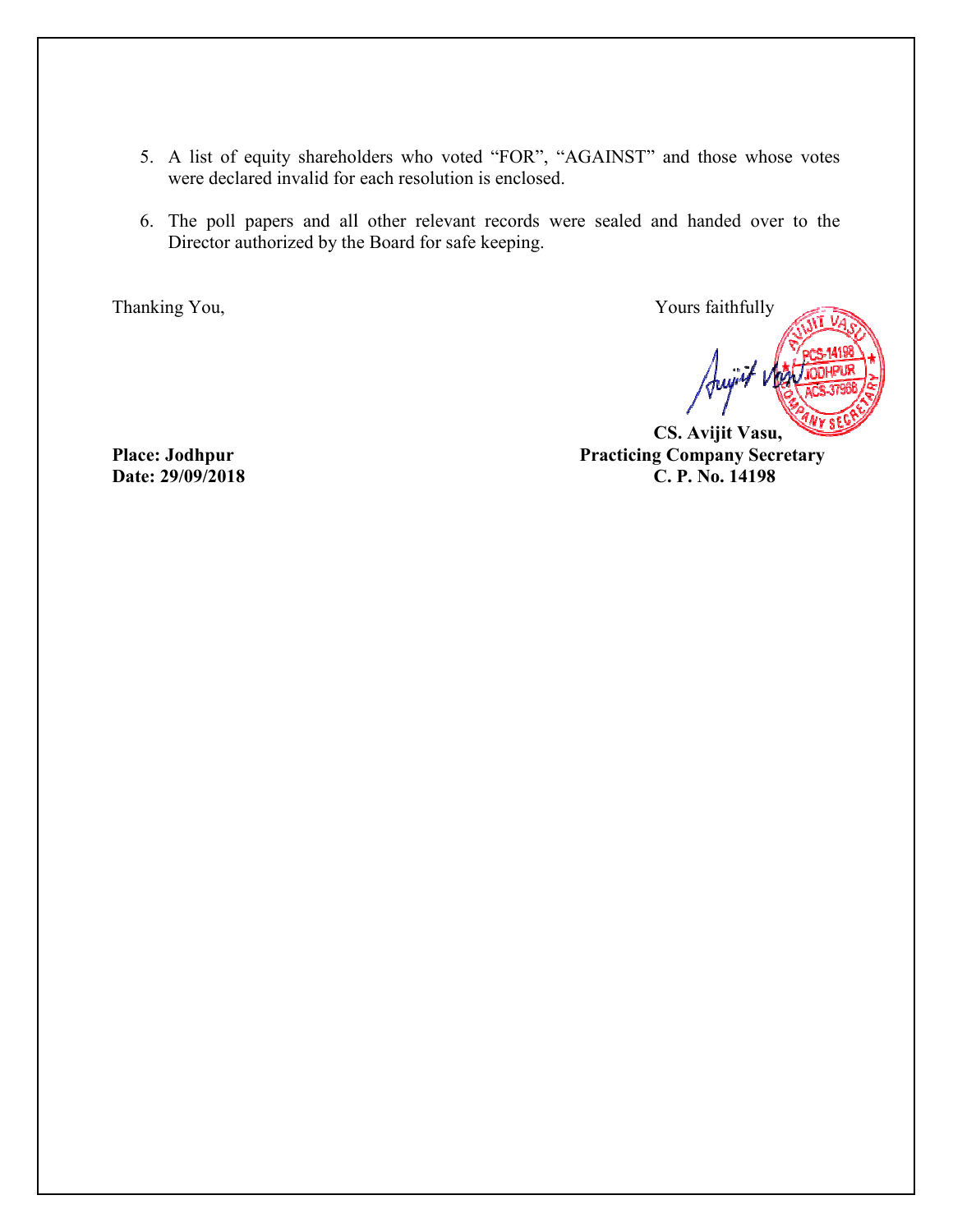- 5. A list of equity shareholders who voted "FOR", "AGAINST" and those whose votes were declared invalid for each resolution is enclosed.
- 6. The poll papers and all other relevant records were sealed and handed over to the Director authorized by the Board for safe keeping.

Thanking You,

**EVALUATE:** Yours faithfully

Jujit vka

 **CS. Aviji Avijit Vasu, Practicing Company Secretary C. P. No. 14198** 

**Place: Jodhpur Date: 29/09/2018**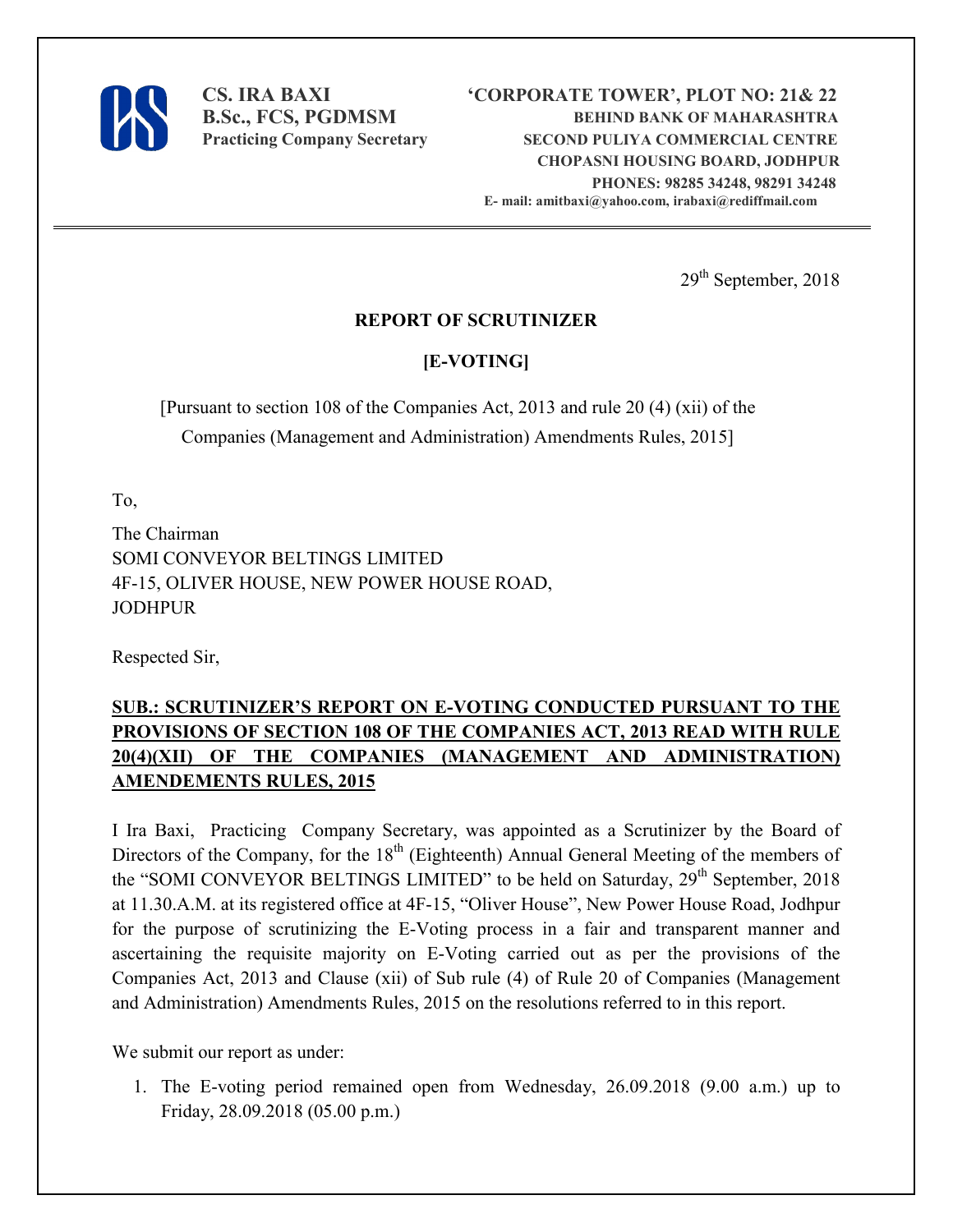

29<sup>th</sup> September, 2018

## **REPORT OF SCRUTINIZER**

# **[E-VOTING]**

[Pursuant to section 108 of the Companies Act, 2013 and rule 20 (4) (xii) of the Companies (Management and Administration) Amendments Rules, 2015]

To,

The Chairman SOMI CONVEYOR BELTINGS LIMITED 4F-15, OLIVER HOUSE, NEW POWER HOUSE ROAD, JODHPUR

Respected Sir,

# **SUB.: SCRUTINIZER'S REPORT ON E-VOTING CONDUCTED PURSUANT TO THE PROVISIONS OF SECTION 108 OF THE COMPANIES ACT, 2013 READ WITH RULE 20(4)(XII) OF THE COMPANIES (MANAGEMENT AND ADMINISTRATION) AMENDEMENTS RULES, 2015**

I Ira Baxi, Practicing Company Secretary, was appointed as a Scrutinizer by the Board of Directors of the Company, for the  $18<sup>th</sup>$  (Eighteenth) Annual General Meeting of the members of the "SOMI CONVEYOR BELTINGS LIMITED" to be held on Saturday, 29<sup>th</sup> September, 2018 at 11.30.A.M. at its registered office at 4F-15, "Oliver House", New Power House Road, Jodhpur for the purpose of scrutinizing the E-Voting process in a fair and transparent manner and ascertaining the requisite majority on E-Voting carried out as per the provisions of the Companies Act, 2013 and Clause (xii) of Sub rule (4) of Rule 20 of Companies (Management and Administration) Amendments Rules, 2015 on the resolutions referred to in this report.

We submit our report as under:

1. The E-voting period remained open from Wednesday, 26.09.2018 (9.00 a.m.) up to Friday, 28.09.2018 (05.00 p.m.)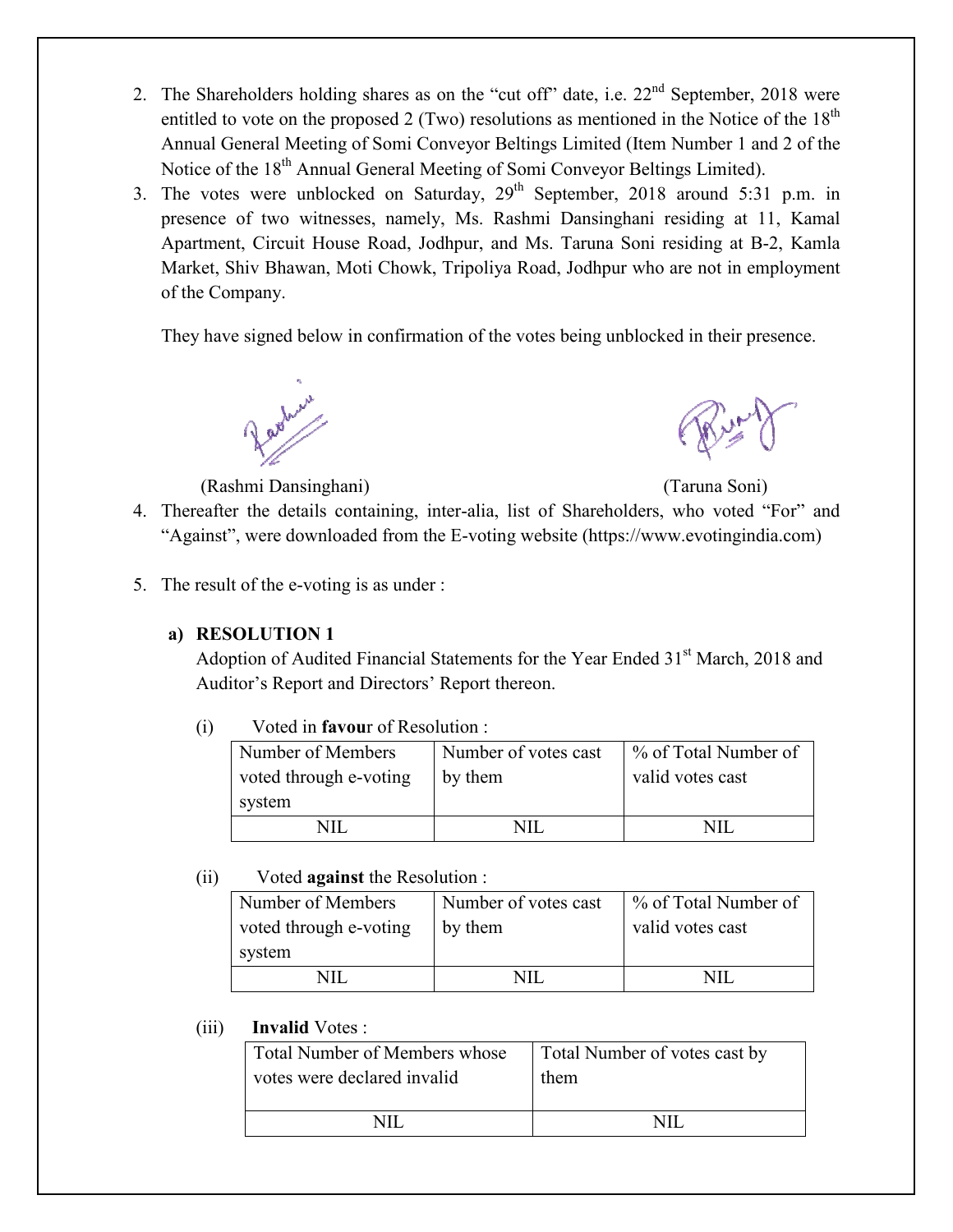- 2. The Shareholders holding shares as on the "cut off" date, i.e.  $22<sup>nd</sup>$  September, 2018 were entitled to vote on the proposed 2 (Two) resolutions as mentioned in the Notice of the  $18<sup>th</sup>$ Annual General Meeting of Somi Conveyor Beltings Limited (Item Number 1 and 2 of the Notice of the 18<sup>th</sup> Annual General Meeting of Somi Conveyor Beltings Limited).
- 3. The votes were unblocked on Saturday,  $29<sup>th</sup>$  September, 2018 around 5:31 p.m. in presence of two witnesses, namely, Ms. Rashmi Dansinghani residing at 11, Kamal Apartment, Circuit House Road, Jodhpur, and Ms. Taruna Soni residing at B-2, Kamla Market, Shiv Bhawan, Moti Chowk, Tripoliya Road, Jodhpur who are not in employment of the Company.

They have signed below in confirmation of the votes being unblocked in their presence.

(Rashmi Dansinghani

ghani) (Taruna Soni)

- 4. Thereafter the details containing, inter-alia, list of Shareholders, who voted "For" and "Against", were downloaded from the E-voting website (https://www.evotingindia.com)
- 5. The result of the e-voting is as under :

## **a) RESOLUTION 1**

Adoption of Audited Financial Statements for the Year Ended 31<sup>st</sup> March, 2018 and Auditor's Report and D Directors' Report thereon.

| Number of Members<br>voted through e-voting | Number of votes cast<br>by them | % of Total Number of<br>valid votes cast |
|---------------------------------------------|---------------------------------|------------------------------------------|
| system                                      |                                 |                                          |
|                                             | NH                              |                                          |

## (ii) Voted **against** the Resolution :

| Number of Members<br>voted through e-voting | Number of votes cast<br>by them | 1 % of Total Number of<br>valid votes cast |
|---------------------------------------------|---------------------------------|--------------------------------------------|
| system                                      |                                 |                                            |
|                                             |                                 |                                            |

#### (iii) **Invalid** Votes :

| <b>Invalid Votes:</b>         |                               |
|-------------------------------|-------------------------------|
| Total Number of Members whose | Total Number of votes cast by |
| votes were declared invalid   | them                          |
|                               |                               |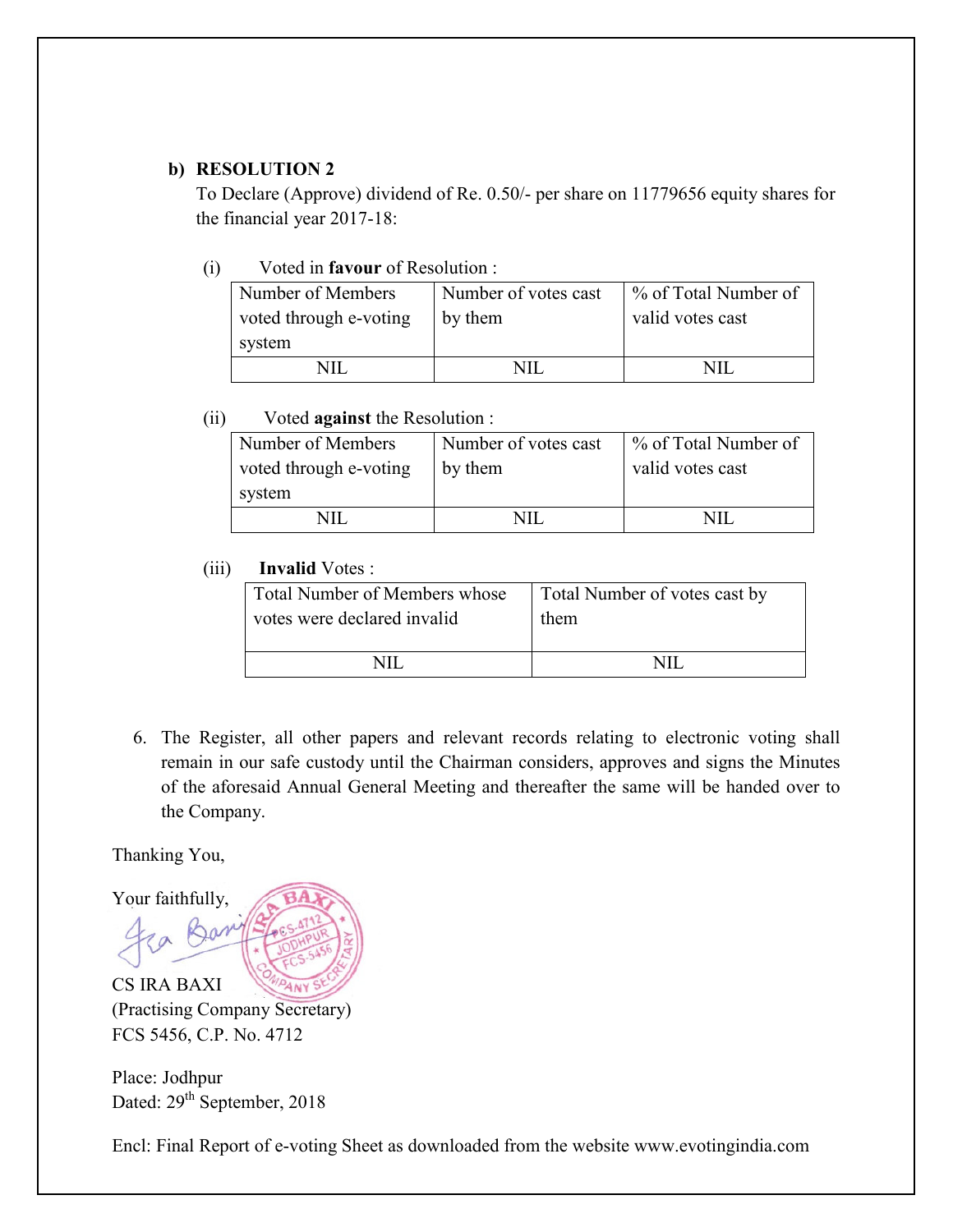## **b) RESOLUTION 2**

 To Declare (Approve) dividend of Re. 0.50/- per share on 11779656 equity shares for the financial year 2017-18:

## (i) Voted in **favour** of Resolution :

| Number of Members<br>voted through e-voting | Number of votes cast<br>by them | % of Total Number of<br>valid votes cast |  |  |
|---------------------------------------------|---------------------------------|------------------------------------------|--|--|
| system                                      |                                 |                                          |  |  |
|                                             | VШ                              | NШ                                       |  |  |

## (ii) Voted **against** the Resolution :

| Number of Members      | Number of votes cast | % of Total Number of |
|------------------------|----------------------|----------------------|
| voted through e-voting | by them              | valid votes cast     |
| system                 |                      |                      |
|                        | NП                   |                      |

## (iii) **Invalid** Votes :

| <b>Total Number of Members whose</b> | Total Number of votes cast by |
|--------------------------------------|-------------------------------|
| votes were declared invalid          | them                          |
|                                      |                               |

6. The Register, all other papers and relevant records relating to electronic voting shall remain in our safe custody until the Chairman considers, approves and signs the Minutes of the aforesaid Annual General Meeting and thereafter the same will be handed over to the Company.

Thanking You,



(Practising Company Secretary) FCS 5456, C.P. No. 4712

Place: Jodhpur Dated:  $29<sup>th</sup>$  September, 2018

Encl: Final Report of e-voting Sheet as downloaded from the website www.evotingindia.com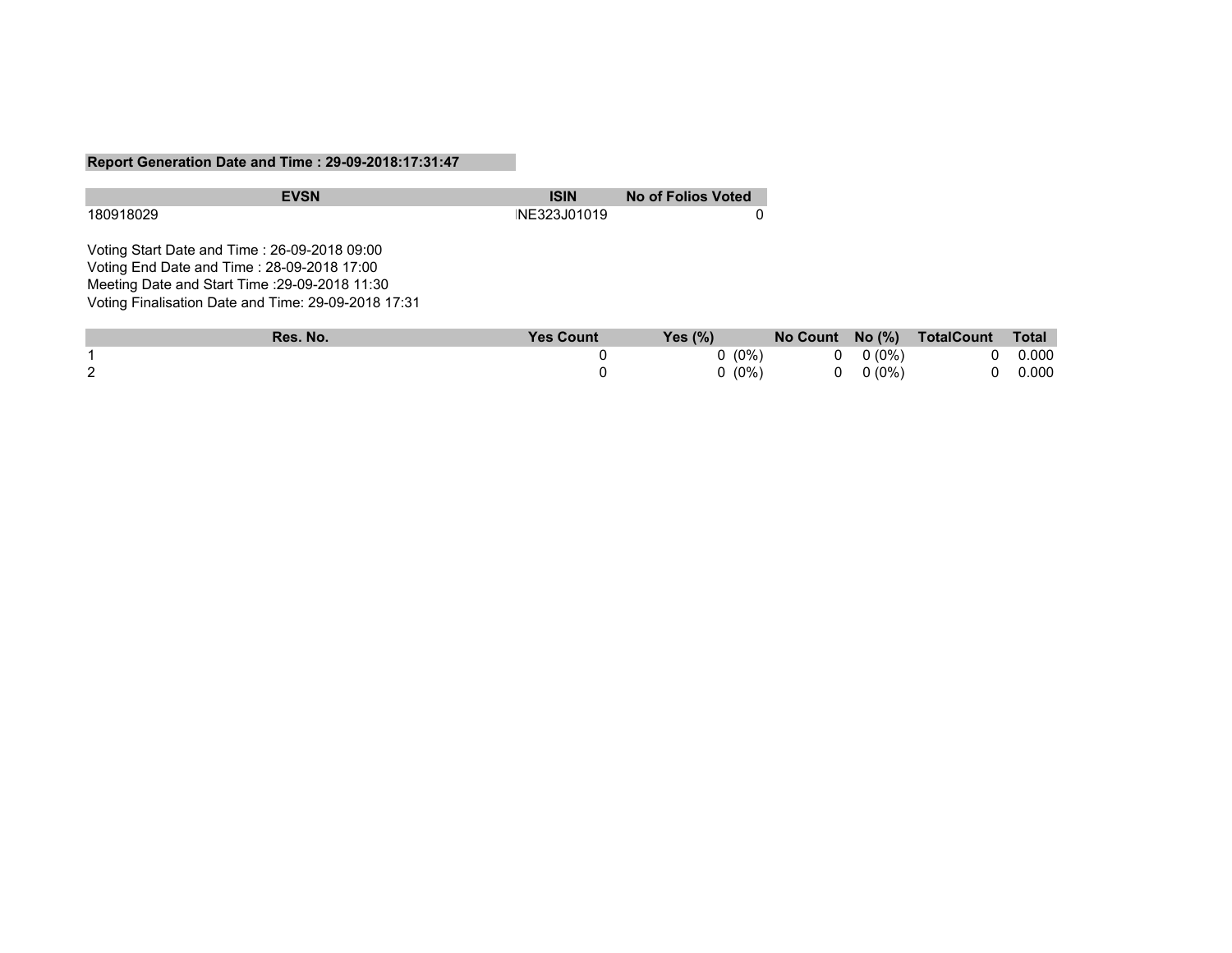#### **Report Generation Date and Time : 29-09-2018:17:31:47**

| <b>EVSN</b>                                         | <b>ISIN</b>      | <b>No of Folios Voted</b> |
|-----------------------------------------------------|------------------|---------------------------|
| 180918029                                           | NE323J01019      |                           |
| Voting Start Date and Time: 26-09-2018 09:00        |                  |                           |
| Voting End Date and Time: 28-09-2018 17:00          |                  |                           |
| Meeting Date and Start Time : 29-09-2018 11:30      |                  |                           |
| Voting Finalisation Date and Time: 29-09-2018 17:31 |                  |                           |
| D <sub>ag</sub> N <sub>a</sub>                      | $V_{aa}$ $C_{a}$ | $V_{\alpha\alpha}$ /0/ \  |

|   | Res. No. | <b>Yes Count</b> | Yes $(\%)$ |                | No Count No (%) TotalCount Total |                |
|---|----------|------------------|------------|----------------|----------------------------------|----------------|
|   |          |                  | $0(0\%)$   | $0 \t 0 (0\%)$ |                                  | $0\quad 0.000$ |
| 2 |          |                  | $0(0\%)$   | $0 \t 0(0\%)$  | $\overline{0}$                   | 0.000          |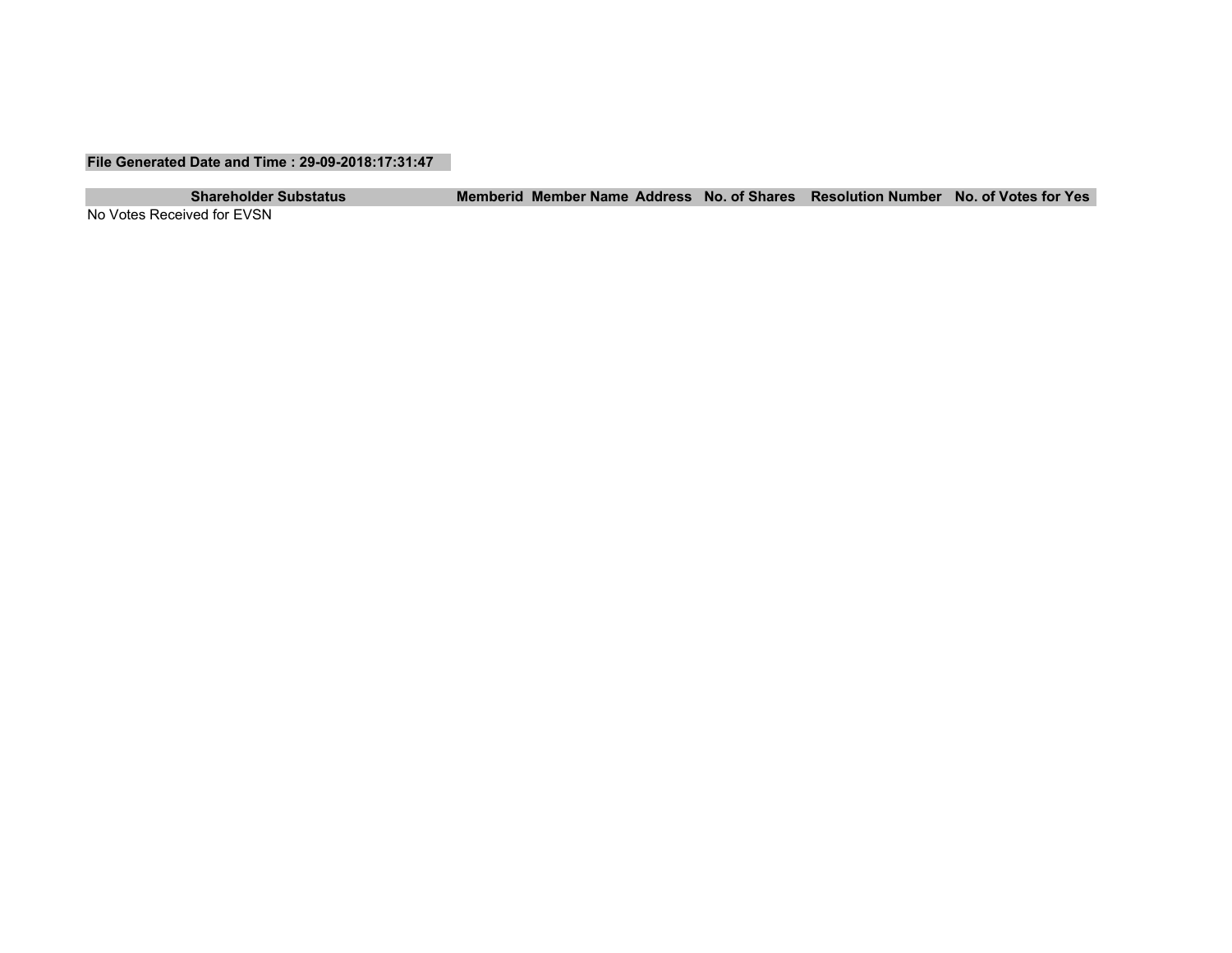#### **File Generated Date and Time : 29-09-2018:17:31:47**

**Shareholder Substatus Memberid Member Name Address No. of Shares Resolution Number No. of Votes for Yes**

No Votes Received for EVSN